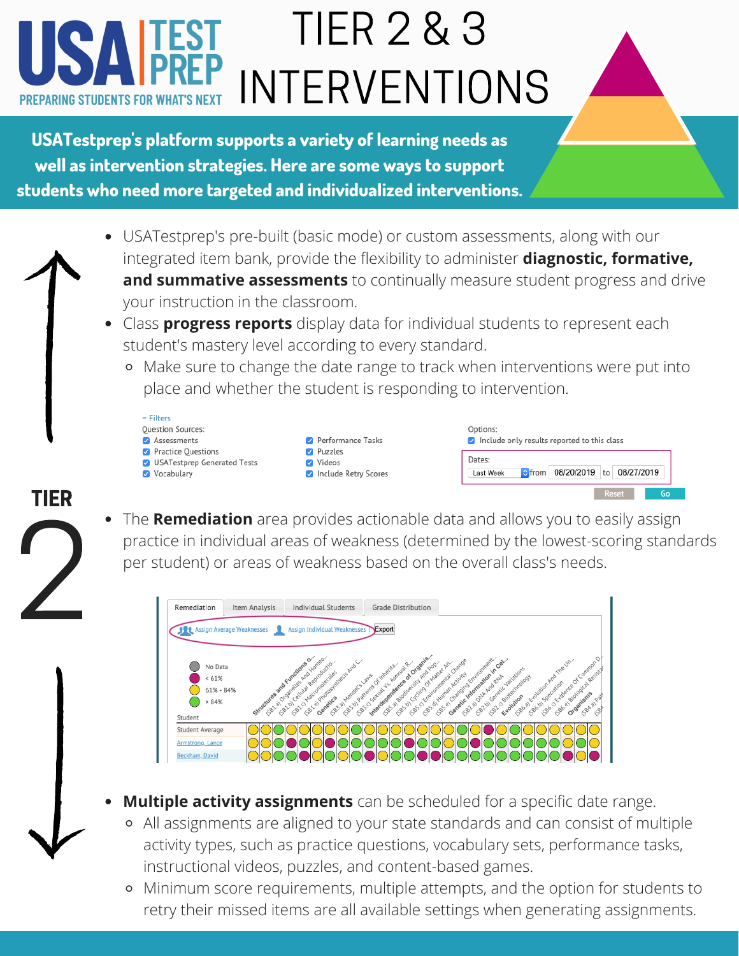## TIER 2 & 3 INTERVENTIONS **PREPARING STUDENTS FOR WHAT'S N**

**USATestprep's platform supports a variety of learning needs as well as intervention strategies. Here are some ways to support students who need more targeted and individualized interventions.**

- USATestprep's pre-built (basic mode) or custom assessments, along with our integrated item bank, provide the flexibility to administer **diagnostic, formative, and summative assessments** to continually measure student progress and drive your instruction in the classroom.
- Class **progress reports** display data for individual students to represent each student's mastery level according to every standard.
	- Make sure to change the date range to track when interventions were put into place and whether the student is responding to intervention.



The **Remediation** area provides actionable data and allows you to easily assign practice in individual areas of weakness (determined by the lowest-scoring standards per student) or areas of weakness based on the overall class's needs. TIER <sup>-</sup><br>2



- **Multiple activity assignments** can be scheduled for a specific date range.
	- All assignments are aligned to your state standards and can consist of multiple activity types, such as practice questions, vocabulary sets, performance tasks, instructional videos, puzzles, and content-based games.
	- Minimum score requirements, multiple attempts, and the option for students to retry their missed items are all available settings when generating assignments.